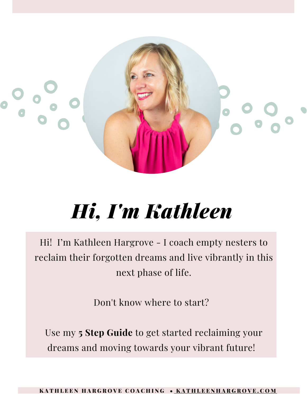

## *Hi, I'm Kathleen*

Hi! I'm Kathleen Hargrove - I coach empty nesters to reclaim their forgotten dreams and live vibrantly in this next phase of life.

Don't know where to start?

Use my **5 Step Guide** to get started reclaiming your dreams and moving towards your vibrant future!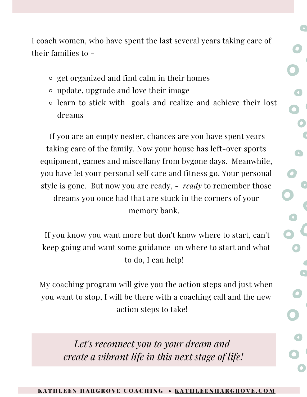I coach women, who have spent the last several years taking care of their families to -

- get organized and find calm in their homes
- update, upgrade and love their image
- learn to stick with goals and realize and achieve their lost dreams

If you are an empty nester, chances are you have spent years taking care of the family. Now your house has left-over sports equipment, games and miscellany from bygone days. Meanwhile, you have let your personal self care and fitness go. Your personal style is gone. But now you are ready, - *ready* to remember those dreams you once had that are stuck in the corners of your memory bank.

If you know you want more but don't know where to start, can't keep going and want some guidance on where to start and what to do, I can help!

My coaching program will give you the action steps and just when you want to stop, I will be there with a coaching call and the new action steps to take!

> *Let's reconnect you to your dream and create a vibrant life in this next stage of life!*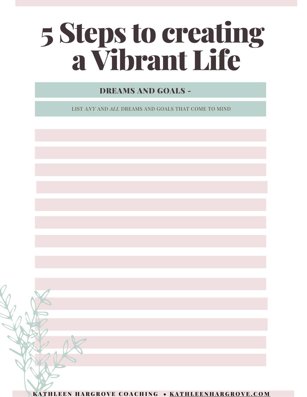# 5 Steps to creating aVibrant Life

### DREAMS AND GOALS -

LIST *ANY* AND *ALL* DREAMS AND GOALS THAT COME TO MIND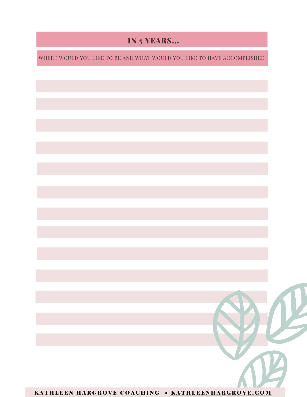### IN 5 YEARS...

WHERE WOULD YOU LIKE TO BE AND WHAT WOULD YOU LIKE TO HAVE ACCOMPLISHED

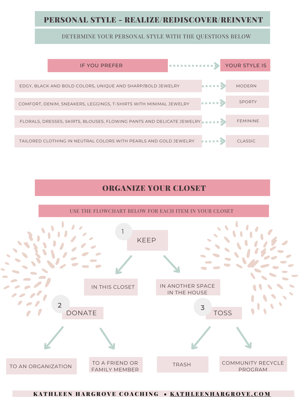### PERSONAL STYLE - REALIZE/REDISCOVER/REINVENT

### DETERMINE YOUR PERSONAL STYLE WITH THE QUESTIONS BELOW



### ORGANIZE YOUR CLOSET

USE THE FLOWCHART BELOW FOR EACH ITEM IN YOUR CLOSET

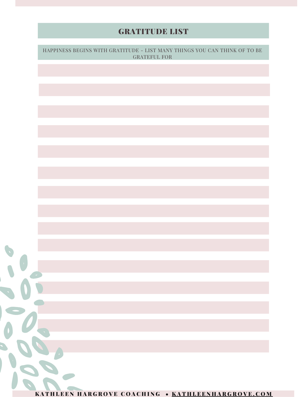# GRATITUDE LIST HAPPINESS BEGINS WITH GRATITUDE - LIST MANY THINGS YOU CAN THINK OF TO BE GRATEFUL FOR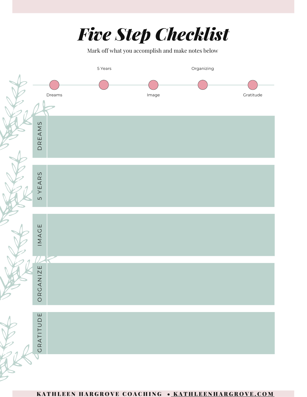

Mark off what you accomplish and make notes below